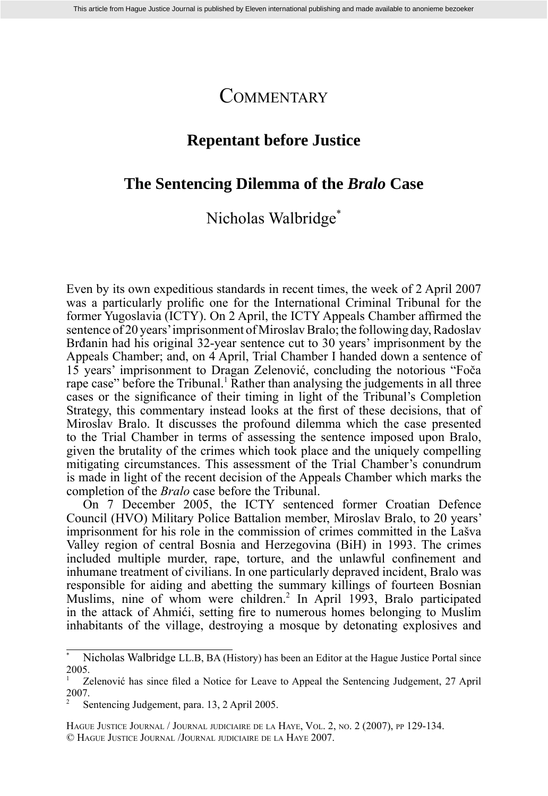# **COMMENTARY**

## **Repentant before Justice**

### **The Sentencing Dilemma of the** *Bralo* **Case**

## Nicholas Walbridge\*

Even by its own expeditious standards in recent times, the week of 2 April 2007 was a particularly prolific one for the International Criminal Tribunal for the former Yugoslavia (ICTY). On 2 April, the ICTY Appeals Chamber affirmed the sentence of 20 years' imprisonment of Miroslav Bralo; the following day, Radoslav Brđanin had his original 32-year sentence cut to 30 years' imprisonment by the Appeals Chamber; and, on 4 April, Trial Chamber I handed down a sentence of 15 years' imprisonment to Dragan Zelenović, concluding the notorious "Foča rape case" before the Tribunal.<sup>1</sup> Rather than analysing the judgements in all three cases or the significance of their timing in light of the Tribunal's Completion Strategy, this commentary instead looks at the first of these decisions, that of Miroslav Bralo. It discusses the profound dilemma which the case presented to the Trial Chamber in terms of assessing the sentence imposed upon Bralo, given the brutality of the crimes which took place and the uniquely compelling mitigating circumstances. This assessment of the Trial Chamber's conundrum is made in light of the recent decision of the Appeals Chamber which marks the completion of the *Bralo* case before the Tribunal.

 On 7 December 2005, the ICTY sentenced former Croatian Defence Council (HVO) Military Police Battalion member, Miroslav Bralo, to 20 years' imprisonment for his role in the commission of crimes committed in the Lašva Valley region of central Bosnia and Herzegovina (BiH) in 1993. The crimes included multiple murder, rape, torture, and the unlawful confinement and inhumane treatment of civilians. In one particularly depraved incident, Bralo was responsible for aiding and abetting the summary killings of fourteen Bosnian Muslims, nine of whom were children.<sup>2</sup> In April 1993, Bralo participated in the attack of Ahmići, setting fire to numerous homes belonging to Muslim inhabitants of the village, destroying a mosque by detonating explosives and

HAGUE JUSTICE JOURNAL / JOURNAL JUDICIAIRE DE LA HAYE, VOL. 2, NO. 2 (2007), PP 129-134.

© HAGUE JUSTICE JOURNAL /JOURNAL JUDICIAIRE DE LA HAYE 2007.

Nicholas Walbridge LL.B, BA (History) has been an Editor at the Hague Justice Portal since 2005.

Zelenović has since filed a Notice for Leave to Appeal the Sentencing Judgement, 27 April 2007.

<sup>2</sup> Sentencing Judgement, para. 13, 2 April 2005.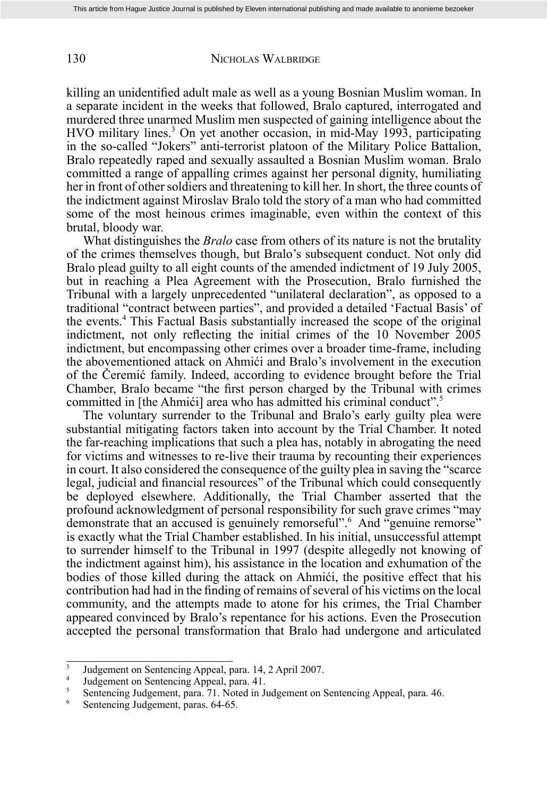#### 130 NICHOLAS WALBRIDGE

killing an unidentified adult male as well as a young Bosnian Muslim woman. In a separate incident in the weeks that followed, Bralo captured, interrogated and murdered three unarmed Muslim men suspected of gaining intelligence about the HVO military lines.<sup>3</sup> On yet another occasion, in mid-May 1993, participating in the so-called "Jokers" anti-terrorist platoon of the Military Police Battalion, Bralo repeatedly raped and sexually assaulted a Bosnian Muslim woman. Bralo committed a range of appalling crimes against her personal dignity, humiliating her in front of other soldiers and threatening to kill her. In short, the three counts of the indictment against Miroslav Bralo told the story of a man who had committed some of the most heinous crimes imaginable, even within the context of this brutal, bloody war.

 What distinguishes the *Bralo* case from others of its nature is not the brutality of the crimes themselves though, but Bralo's subsequent conduct. Not only did Bralo plead guilty to all eight counts of the amended indictment of 19 July 2005, but in reaching a Plea Agreement with the Prosecution, Bralo furnished the Tribunal with a largely unprecedented "unilateral declaration", as opposed to a traditional "contract between parties", and provided a detailed 'Factual Basis' of the events.4 This Factual Basis substantially increased the scope of the original indictment, not only reflecting the initial crimes of the 10 November 2005 indictment, but encompassing other crimes over a broader time-frame, including the abovementioned attack on Ahmići and Bralo's involvement in the execution of the Čeremić family. Indeed, according to evidence brought before the Trial Chamber, Bralo became "the first person charged by the Tribunal with crimes" committed in [the Ahmići] area who has admitted his criminal conduct".5

 The voluntary surrender to the Tribunal and Bralo's early guilty plea were substantial mitigating factors taken into account by the Trial Chamber. It noted the far-reaching implications that such a plea has, notably in abrogating the need for victims and witnesses to re-live their trauma by recounting their experiences in court. It also considered the consequence of the guilty plea in saving the "scarce legal, judicial and financial resources" of the Tribunal which could consequently be deployed elsewhere. Additionally, the Trial Chamber asserted that the profound acknowledgment of personal responsibility for such grave crimes "may demonstrate that an accused is genuinely remorseful".<sup>6</sup> And "genuine remorse" is exactly what the Trial Chamber established. In his initial, unsuccessful attempt to surrender himself to the Tribunal in 1997 (despite allegedly not knowing of the indictment against him), his assistance in the location and exhumation of the bodies of those killed during the attack on Ahmići, the positive effect that his contribution had had in the finding of remains of several of his victims on the local community, and the attempts made to atone for his crimes, the Trial Chamber appeared convinced by Bralo's repentance for his actions. Even the Prosecution accepted the personal transformation that Bralo had undergone and articulated

 $\frac{3}{4}$  Judgement on Sentencing Appeal, para. 14, 2 April 2007.

<sup>&</sup>lt;sup>4</sup> Judgement on Sentencing Appeal, para.  $41$ .<br><sup>5</sup> Sentencing Judgement, para.  $71$  Noted in I<sub>1</sub>

 $\frac{5}{6}$  Sentencing Judgement, para. 71. Noted in Judgement on Sentencing Appeal, para. 46.

Sentencing Judgement, paras. 64-65.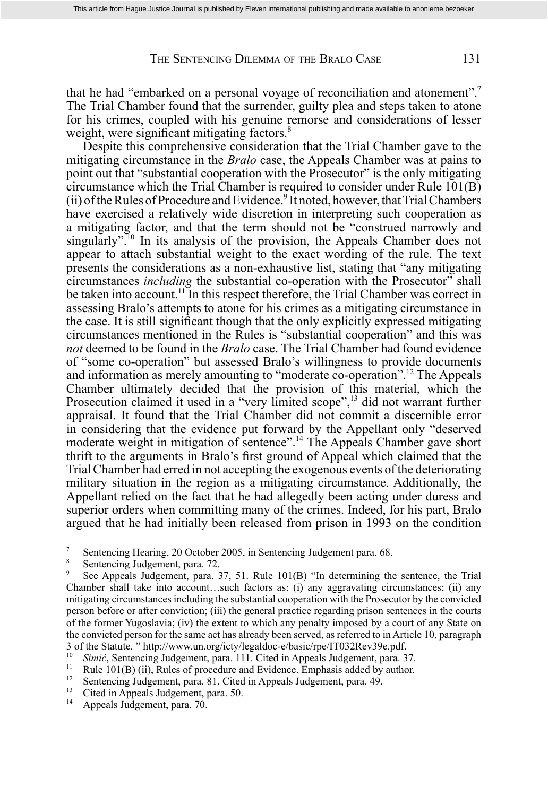### THE SENTENCING DILEMMA OF THE BRALO CASE 131

that he had "embarked on a personal voyage of reconciliation and atonement".7 The Trial Chamber found that the surrender, guilty plea and steps taken to atone for his crimes, coupled with his genuine remorse and considerations of lesser weight, were significant mitigating factors. $8<sup>8</sup>$ 

 Despite this comprehensive consideration that the Trial Chamber gave to the mitigating circumstance in the *Bralo* case, the Appeals Chamber was at pains to point out that "substantial cooperation with the Prosecutor" is the only mitigating circumstance which the Trial Chamber is required to consider under Rule  $101(B)$ (ii) of the Rules of Procedure and Evidence.<sup>9</sup> It noted, however, that Trial Chambers have exercised a relatively wide discretion in interpreting such cooperation as a mitigating factor, and that the term should not be "construed narrowly and singularly".<sup>10</sup> In its analysis of the provision, the Appeals Chamber does not appear to attach substantial weight to the exact wording of the rule. The text presents the considerations as a non-exhaustive list, stating that "any mitigating circumstances *including* the substantial co-operation with the Prosecutor" shall be taken into account.<sup>11</sup> In this respect therefore, the Trial Chamber was correct in assessing Bralo's attempts to atone for his crimes as a mitigating circumstance in the case. It is still significant though that the only explicitly expressed mitigating circumstances mentioned in the Rules is "substantial cooperation" and this was *not* deemed to be found in the *Bralo* case. The Trial Chamber had found evidence of "some co-operation" but assessed Bralo's willingness to provide documents and information as merely amounting to "moderate co-operation".<sup>12</sup> The Appeals Chamber ultimately decided that the provision of this material, which the Prosecution claimed it used in a "very limited scope",<sup>13</sup> did not warrant further appraisal. It found that the Trial Chamber did not commit a discernible error in considering that the evidence put forward by the Appellant only "deserved moderate weight in mitigation of sentence".<sup>14</sup> The Appeals Chamber gave short thrift to the arguments in Bralo's first ground of Appeal which claimed that the Trial Chamber had erred in not accepting the exogenous events of the deteriorating military situation in the region as a mitigating circumstance. Additionally, the Appellant relied on the fact that he had allegedly been acting under duress and superior orders when committing many of the crimes. Indeed, for his part, Bralo argued that he had initially been released from prison in 1993 on the condition

<sup>7</sup> Sentencing Hearing, 20 October 2005, in Sentencing Judgement para. 68.

Sentencing Judgement, para. 72.

<sup>9</sup> See Appeals Judgement, para. 37, 51. Rule 101(B) "In determining the sentence, the Trial Chamber shall take into account…such factors as: (i) any aggravating circumstances; (ii) any mitigating circumstances including the substantial cooperation with the Prosecutor by the convicted person before or after conviction; (iii) the general practice regarding prison sentences in the courts of the former Yugoslavia; (iv) the extent to which any penalty imposed by a court of any State on the convicted person for the same act has already been served, as referred to in Article 10, paragraph 3 of the Statute. " http://www.un.org/icty/legaldoc-e/basic/rpe/IT032Rev39e.pdf.

<sup>&</sup>lt;sup>10</sup> Simi*ć*, Sentencing Judgement, para. 111. Cited in Appeals Judgement, para. 37.<br><sup>11</sup> Prela 101(D) (ii) Prelag of procedure and Fridance Funkasia added by suthan

<sup>&</sup>lt;sup>11</sup> Rule 101(B) (ii), Rules of procedure and Evidence. Emphasis added by author.<br><sup>12</sup> Sentencing Judgement, para. 81. Cited in Appeals Judgement, para. 49.<br><sup>13</sup> Cited in Appeals Judgement, para. 50.

<sup>&</sup>lt;sup>13</sup> Cited in Appeals Judgement, para. 50.

<sup>14</sup> Appeals Judgement, para. 70.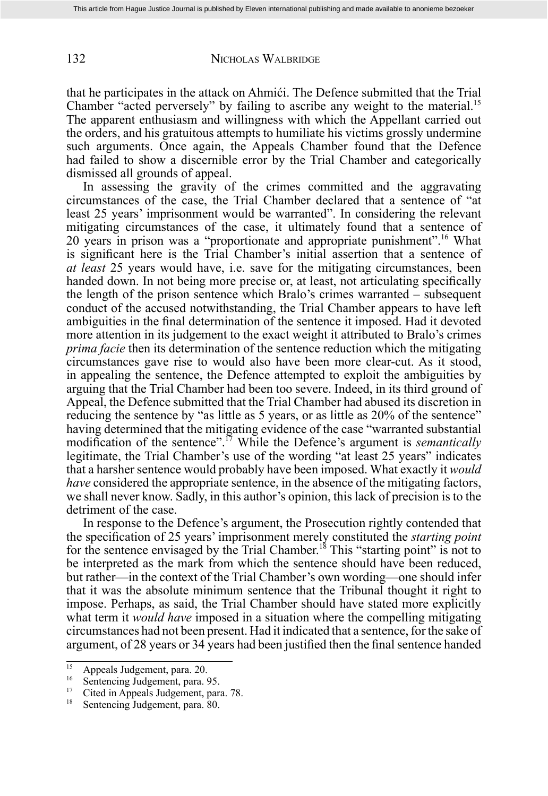132 NICHOLAS WALBRIDGE

that he participates in the attack on Ahmići. The Defence submitted that the Trial Chamber "acted perversely" by failing to ascribe any weight to the material.<sup>15</sup> The apparent enthusiasm and willingness with which the Appellant carried out the orders, and his gratuitous attempts to humiliate his victims grossly undermine such arguments. Once again, the Appeals Chamber found that the Defence had failed to show a discernible error by the Trial Chamber and categorically dismissed all grounds of appeal.

In assessing the gravity of the crimes committed and the aggravating circumstances of the case, the Trial Chamber declared that a sentence of "at least 25 years' imprisonment would be warranted". In considering the relevant mitigating circumstances of the case, it ultimately found that a sentence of 20 years in prison was a "proportionate and appropriate punishment".16 What is significant here is the Trial Chamber's initial assertion that a sentence of *at least* 25 years would have, i.e. save for the mitigating circumstances, been handed down. In not being more precise or, at least, not articulating specifically the length of the prison sentence which Bralo's crimes warranted – subsequent conduct of the accused notwithstanding, the Trial Chamber appears to have left ambiguities in the final determination of the sentence it imposed. Had it devoted more attention in its judgement to the exact weight it attributed to Bralo's crimes *prima facie* then its determination of the sentence reduction which the mitigating circumstances gave rise to would also have been more clear-cut. As it stood, in appealing the sentence, the Defence attempted to exploit the ambiguities by arguing that the Trial Chamber had been too severe. Indeed, in its third ground of Appeal, the Defence submitted that the Trial Chamber had abused its discretion in reducing the sentence by "as little as 5 years, or as little as 20% of the sentence" having determined that the mitigating evidence of the case "warranted substantial modification of the sentence".<sup>17</sup> While the Defence's argument is *semantically* legitimate, the Trial Chamber's use of the wording "at least 25 years" indicates that a harsher sentence would probably have been imposed. What exactly it *would have* considered the appropriate sentence, in the absence of the mitigating factors, we shall never know. Sadly, in this author's opinion, this lack of precision is to the detriment of the case.

 In response to the Defence's argument, the Prosecution rightly contended that the specifi cation of 25 years' imprisonment merely constituted the *starting point*  for the sentence envisaged by the Trial Chamber.<sup>18</sup> This "starting point" is not to be interpreted as the mark from which the sentence should have been reduced, but rather—in the context of the Trial Chamber's own wording—one should infer that it was the absolute minimum sentence that the Tribunal thought it right to impose. Perhaps, as said, the Trial Chamber should have stated more explicitly what term it *would have* imposed in a situation where the compelling mitigating circumstances had not been present. Had it indicated that a sentence , for the sake of argument, of 28 years or 34 years had been justified then the final sentence handed

 $\frac{15}{16}$  Appeals Judgement, para. 20.

<sup>&</sup>lt;sup>16</sup> Sentencing Judgement, para. 95.

<sup>&</sup>lt;sup>17</sup> Cited in Appeals Judgement, para. 78.<br><sup>18</sup> Sentencing Judgement, para. 80.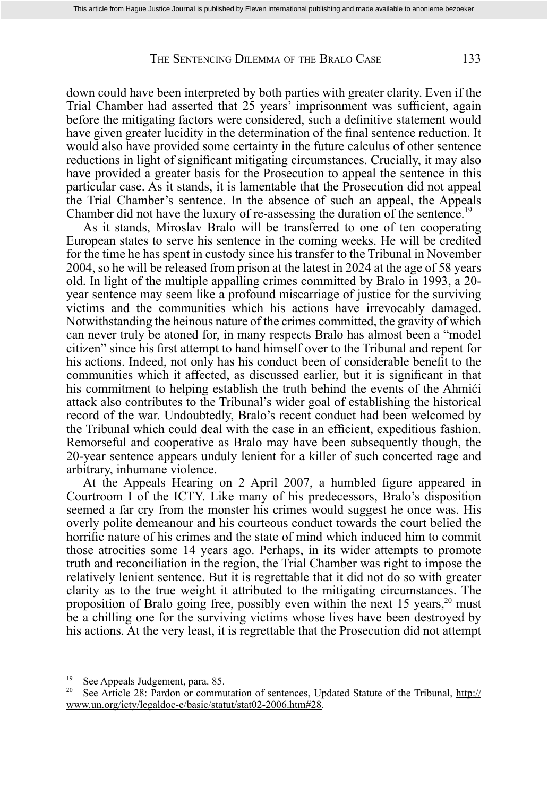#### THE SENTENCING DILEMMA OF THE BRALO CASE 133

down could have been interpreted by both parties with greater clarity. Even if the Trial Chamber had asserted that 25 years' imprisonment was sufficient, again before the mitigating factors were considered, such a definitive statement would have given greater lucidity in the determination of the final sentence reduction. It would also have provided some certainty in the future calculus of other sentence reductions in light of significant mitigating circumstances. Crucially, it may also have provided a greater basis for the Prosecution to appeal the sentence in this particular case. As it stands, it is lamentable that the Prosecution did not appeal the Trial Chamber's sentence. In the absence of such an appeal, the Appeals Chamber did not have the luxury of re-assessing the duration of the sentence.<sup>19</sup>

 As it stands, Miroslav Bralo will be transferred to one of ten cooperating European states to serve his sentence in the coming weeks. He will be credited for the time he has spent in custody since his transfer to the Tribunal in November 2004, so he will be released from prison at the latest in 2024 at the age of 58 years old. In light of the multiple appalling crimes committed by Bralo in 1993, a 20 year sentence may seem like a profound miscarriage of justice for the surviving victims and the communities which his actions have irrevocably damaged. Notwithstanding the heinous nature of the crimes committed, the gravity of which can never truly be atoned for, in many respects Bralo has almost been a "model citizen" since his first attempt to hand himself over to the Tribunal and repent for his actions. Indeed, not only has his conduct been of considerable benefit to the communities which it affected, as discussed earlier, but it is significant in that his commitment to helping establish the truth behind the events of the Ahmići attack also contributes to the Tribunal's wider goal of establishing the historical record of the war. Undoubtedly, Bralo's recent conduct had been welcomed by the Tribunal which could deal with the case in an efficient, expeditious fashion. Remorseful and cooperative as Bralo may have been subsequently though, the 20-year sentence appears unduly lenient for a killer of such concerted rage and arbitrary, inhumane violence.

At the Appeals Hearing on 2 April 2007, a humbled figure appeared in Courtroom I of the ICTY. Like many of his predecessors, Bralo's disposition seemed a far cry from the monster his crimes would suggest he once was. His overly polite demeanour and his courteous conduct towards the court belied the horrific nature of his crimes and the state of mind which induced him to commit those atrocities some 14 years ago. Perhaps, in its wider attempts to promote truth and reconciliation in the region, the Trial Chamber was right to impose the relatively lenient sentence. But it is regrettable that it did not do so with greater clarity as to the true weight it attributed to the mitigating circumstances. The proposition of Bralo going free, possibly even within the next  $15$  years,<sup>20</sup> must be a chilling one for the surviving victims whose lives have been destroyed by his actions. At the very least, it is regrettable that the Prosecution did not attempt

 $\frac{19}{20}$  See Appeals Judgement, para. 85.

See Article 28: Pardon or commutation of sentences, Updated Statute of the Tribunal, http:// www.un.org/icty/legaldoc-e/basic/statut/stat02-2006.htm#28.